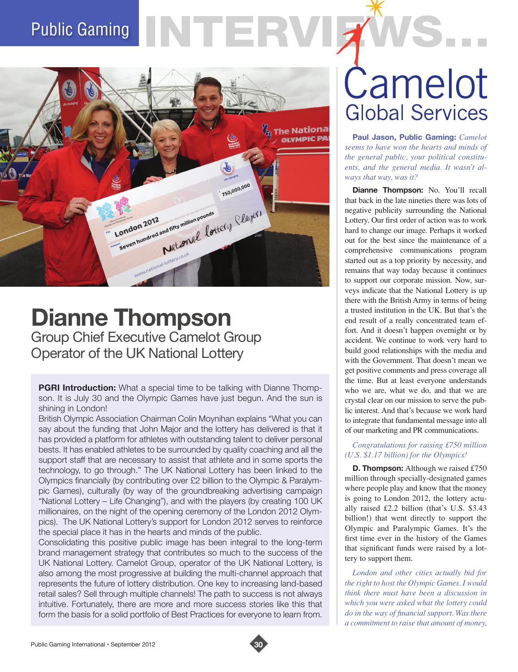# Public Gaming



### **Dianne Thompson** Group Chief Executive Camelot Group Operator of the UK National Lottery

**PGRI Introduction:** What a special time to be talking with Dianne Thompson. It is July 30 and the Olympic Games have just begun. And the sun is shining in London!

British Olympic Association Chairman Colin Moynihan explains "What you can say about the funding that John Major and the lottery has delivered is that it has provided a platform for athletes with outstanding talent to deliver personal bests. It has enabled athletes to be surrounded by quality coaching and all the support staff that are necessary to assist that athlete and in some sports the technology, to go through." The UK National Lottery has been linked to the Olympics financially (by contributing over £2 billion to the Olympic & Paralympic Games), culturally (by way of the groundbreaking advertising campaign "National Lottery – Life Changing"), and with the players (by creating 100 UK millionaires, on the night of the opening ceremony of the London 2012 Olympics). The UK National Lottery's support for London 2012 serves to reinforce the special place it has in the hearts and minds of the public.

Consolidating this positive public image has been integral to the long-term brand management strategy that contributes so much to the success of the UK National Lottery. Camelot Group, operator of the UK National Lottery, is also among the most progressive at building the multi-channel approach that represents the future of lottery distribution. One key to increasing land-based retail sales? Sell through multiple channels! The path to success is not always intuitive. Fortunately, there are more and more success stories like this that form the basis for a solid portfolio of Best Practices for everyone to learn from.

## Camelot **Global Services**

**Paul Jason, Public Gaming:** *Camelot seems to have won the hearts and minds of the general public, your political constituents, and the general media. It wasn't always that way, was it?*

**Dianne Thompson:** No. You'll recall that back in the late nineties there was lots of negative publicity surrounding the National Lottery. Our first order of action was to work hard to change our image. Perhaps it worked out for the best since the maintenance of a comprehensive communications program started out as a top priority by necessity, and remains that way today because it continues to support our corporate mission. Now, surveys indicate that the National Lottery is up there with the British Army in terms of being a trusted institution in the UK. But that's the end result of a really concentrated team effort. And it doesn't happen overnight or by accident. We continue to work very hard to build good relationships with the media and with the Government. That doesn't mean we get positive comments and press coverage all the time. But at least everyone understands who we are, what we do, and that we are crystal clear on our mission to serve the public interest. And that's because we work hard to integrate that fundamental message into all of our marketing and PR communications.

#### *Congratulations for raising £750 million (U.S. \$1.17 billion) for the Olympics!*

**D. Thompson:** Although we raised £750 million through specially-designated games where people play and know that the money is going to London 2012, the lottery actually raised £2.2 billion (that's U.S. \$3.43 billion!) that went directly to support the Olympic and Paralympic Games. It's the first time ever in the history of the Games that significant funds were raised by a lottery to support them.

*London and other cities actually bid for the right to host the Olympic Games. I would think there must have been a discussion in which you were asked what the lottery could do in the way of financial support. Was there a commitment to raise that amount of money,* 

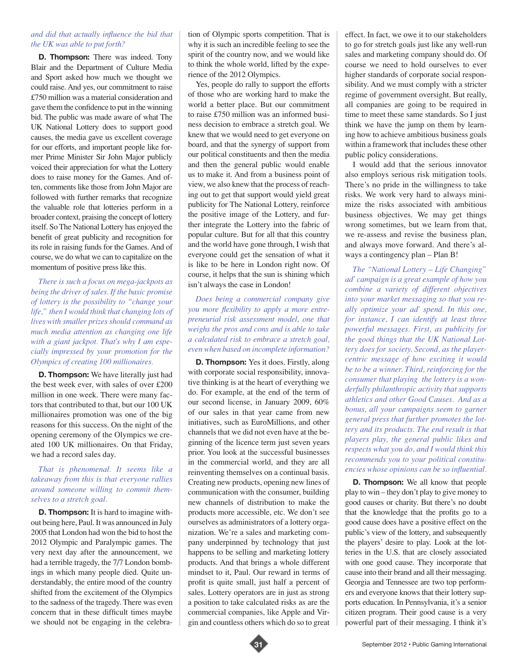#### *and did that actually influence the bid that the UK was able to put forth?*

**D. Thompson:** There was indeed. Tony Blair and the Department of Culture Media and Sport asked how much we thought we could raise. And yes, our commitment to raise £750 million was a material consideration and gave them the confidence to put in the winning bid. The public was made aware of what The UK National Lottery does to support good causes, the media gave us excellent coverage for our efforts, and important people like former Prime Minister Sir John Major publicly voiced their appreciation for what the Lottery does to raise money for the Games. And often, comments like those from John Major are followed with further remarks that recognize the valuable role that lotteries perform in a broader context, praising the concept of lottery itself. So The National Lottery has enjoyed the benefit of great publicity and recognition for its role in raising funds for the Games. And of course, we do what we can to capitalize on the momentum of positive press like this.

*There is such a focus on mega-jackpots as being the driver of sales. If the basic promise of lottery is the possibility to "change your life," then I would think that changing lots of lives with smaller prizes should command as much media attention as changing one life with a giant jackpot. That's why I am especially impressed by your promotion for the Olympics of creating 100 millionaires.* 

**D. Thompson:** We have literally just had the best week ever, with sales of over £200 million in one week. There were many factors that contributed to that, but our 100 UK millionaires promotion was one of the big reasons for this success. On the night of the opening ceremony of the Olympics we created 100 UK millionaires. On that Friday, we had a record sales day.

#### *That is phenomenal. It seems like a takeaway from this is that everyone rallies around someone willing to commit themselves to a stretch goal.*

**D. Thompson:** It is hard to imagine without being here, Paul. It was announced in July 2005 that London had won the bid to host the 2012 Olympic and Paralympic games. The very next day after the announcement, we had a terrible tragedy, the 7/7 London bombings in which many people died. Quite understandably, the entire mood of the country shifted from the excitement of the Olympics to the sadness of the tragedy. There was even concern that in these difficult times maybe we should not be engaging in the celebra-

tion of Olympic sports competition. That is why it is such an incredible feeling to see the spirit of the country now, and we would like to think the whole world, lifted by the experience of the 2012 Olympics.

Yes, people do rally to support the efforts of those who are working hard to make the world a better place. But our commitment to raise £750 million was an informed business decision to embrace a stretch goal. We knew that we would need to get everyone on board, and that the synergy of support from our political constituents and then the media and then the general public would enable us to make it. And from a business point of view, we also knew that the process of reaching out to get that support would yield great publicity for The National Lottery, reinforce the positive image of the Lottery, and further integrate the Lottery into the fabric of popular culture. But for all that this country and the world have gone through, I wish that everyone could get the sensation of what it is like to be here in London right now. Of course, it helps that the sun is shining which isn't always the case in London!

*Does being a commercial company give you more flexibility to apply a more entrepreneurial risk assessment model, one that weighs the pros and cons and is able to take a calculated risk to embrace a stretch goal, even when based on incomplete information?* 

**D. Thompson:** Yes it does. Firstly, along with corporate social responsibility, innovative thinking is at the heart of everything we do. For example, at the end of the term of our second license, in January 2009, 60% of our sales in that year came from new initiatives, such as EuroMillions, and other channels that we did not even have at the beginning of the licence term just seven years prior. You look at the successful businesses in the commercial world, and they are all reinventing themselves on a continual basis. Creating new products, opening new lines of communication with the consumer, building new channels of distribution to make the products more accessible, etc. We don't see ourselves as administrators of a lottery organization. We're a sales and marketing company underpinned by technology that just happens to be selling and marketing lottery products. And that brings a whole different mindset to it, Paul. Our reward in terms of profit is quite small, just half a percent of sales. Lottery operators are in just as strong a position to take calculated risks as are the commercial companies, like Apple and Virgin and countless others which do so to great effect. In fact, we owe it to our stakeholders to go for stretch goals just like any well-run sales and marketing company should do. Of course we need to hold ourselves to ever higher standards of corporate social responsibility. And we must comply with a stricter regime of government oversight. But really, all companies are going to be required in time to meet these same standards. So I just think we have the jump on them by learning how to achieve ambitious business goals within a framework that includes these other public policy considerations.

I would add that the serious innovator also employs serious risk mitigation tools. There's no pride in the willingness to take risks. We work very hard to always minimize the risks associated with ambitious business objectives. We may get things wrong sometimes, but we learn from that, we re-assess and revise the business plan, and always move forward. And there's always a contingency plan – Plan B!

*The "National Lottery – Life Changing" ad' campaign is a great example of how you combine a variety of different objectives into your market messaging so that you really optimize your ad' spend. In this one, for instance, I can identify at least three powerful messages. First, as publicity for the good things that the UK National Lottery does for society. Second, as the playercentric message of how exciting it would be to be a winner. Third, reinforcing for the consumer that playing the lottery is a wonderfully philanthropic activity that supports athletics and other Good Causes. And as a bonus, all your campaigns seem to garner general press that further promotes the lottery and its products. The end result is that players play, the general public likes and respects what you do, and I would think this recommends you to your political constituencies whose opinions can be so influential.*

**D. Thompson:** We all know that people play to win – they don't play to give money to good causes or charity. But there's no doubt that the knowledge that the profits go to a good cause does have a positive effect on the public's view of the lottery, and subsequently the players' desire to play. Look at the lotteries in the U.S. that are closely associated with one good cause. They incorporate that cause into their brand and all their messaging. Georgia and Tennessee are two top performers and everyone knows that their lottery supports education. In Pennsylvania, it's a senior citizen program. Their good cause is a very powerful part of their messaging. I think it's

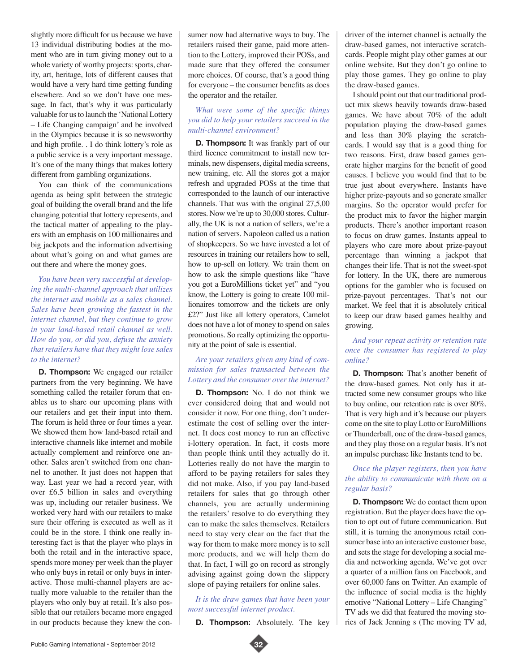slightly more difficult for us because we have 13 individual distributing bodies at the moment who are in turn giving money out to a whole variety of worthy projects: sports, charity, art, heritage, lots of different causes that would have a very hard time getting funding elsewhere. And so we don't have one message. In fact, that's why it was particularly valuable for us to launch the 'National Lottery – Life Changing campaign' and be involved in the Olympics because it is so newsworthy and high profile. . I do think lottery's role as a public service is a very important message. It's one of the many things that makes lottery different from gambling organizations.

You can think of the communications agenda as being split between the strategic goal of building the overall brand and the life changing potential that lottery represents, and the tactical matter of appealing to the players with an emphasis on 100 millionaires and big jackpots and the information advertising about what's going on and what games are out there and where the money goes.

*You have been very successful at developing the multi-channel approach that utilizes the internet and mobile as a sales channel. Sales have been growing the fastest in the internet channel, but they continue to grow in your land-based retail channel as well. How do you, or did you, defuse the anxiety that retailers have that they might lose sales to the internet?* 

**D. Thompson:** We engaged our retailer partners from the very beginning. We have something called the retailer forum that enables us to share our upcoming plans with our retailers and get their input into them. The forum is held three or four times a year. We showed them how land-based retail and interactive channels like internet and mobile actually complement and reinforce one another. Sales aren't switched from one channel to another. It just does not happen that way. Last year we had a record year, with over £6.5 billion in sales and everything was up, including our retailer business. We worked very hard with our retailers to make sure their offering is executed as well as it could be in the store. I think one really interesting fact is that the player who plays in both the retail and in the interactive space, spends more money per week than the player who only buys in retail or only buys in interactive. Those multi-channel players are actually more valuable to the retailer than the players who only buy at retail. It's also possible that our retailers became more engaged in our products because they knew the consumer now had alternative ways to buy. The retailers raised their game, paid more attention to the Lottery, improved their POSs, and made sure that they offered the consumer more choices. Of course, that's a good thing for everyone – the consumer benefits as does the operator and the retailer.

#### *What were some of the specific things you did to help your retailers succeed in the multi-channel environment?*

**D. Thompson:** It was frankly part of our third licence commitment to install new terminals, new dispensers, digital media screens, new training, etc. All the stores got a major refresh and upgraded POSs at the time that corresponded to the launch of our interactive channels. That was with the original 27,5,00 stores. Now we're up to 30,000 stores. Culturally, the UK is not a nation of sellers, we're a nation of servers. Napoleon called us a nation of shopkeepers. So we have invested a lot of resources in training our retailers how to sell, how to up-sell on lottery. We train them on how to ask the simple questions like "have you got a EuroMillions ticket yet" and "you know, the Lottery is going to create 100 millionaires tomorrow and the tickets are only £2?" Just like all lottery operators, Camelot does not have a lot of money to spend on sales promotions. So really optimizing the opportunity at the point of sale is essential.

#### *Are your retailers given any kind of commission for sales transacted between the Lottery and the consumer over the internet?*

**D. Thompson:** No. I do not think we ever considered doing that and would not consider it now. For one thing, don't underestimate the cost of selling over the internet. It does cost money to run an effective i-lottery operation. In fact, it costs more than people think until they actually do it. Lotteries really do not have the margin to afford to be paying retailers for sales they did not make. Also, if you pay land-based retailers for sales that go through other channels, you are actually undermining the retailers' resolve to do everything they can to make the sales themselves. Retailers need to stay very clear on the fact that the way for them to make more money is to sell more products, and we will help them do that. In fact, I will go on record as strongly advising against going down the slippery slope of paying retailers for online sales.

#### *It is the draw games that have been your most successful internet product.*

**D. Thompson:** Absolutely. The key

driver of the internet channel is actually the draw-based games, not interactive scratchcards. People might play other games at our online website. But they don't go online to play those games. They go online to play the draw-based games.

I should point out that our traditional product mix skews heavily towards draw-based games. We have about 70% of the adult population playing the draw-based games and less than 30% playing the scratchcards. I would say that is a good thing for two reasons. First, draw based games generate higher margins for the benefit of good causes. I believe you would find that to be true just about everywhere. Instants have higher prize-payouts and so generate smaller margins. So the operator would prefer for the product mix to favor the higher margin products. There's another important reason to focus on draw games. Instants appeal to players who care more about prize-payout percentage than winning a jackpot that changes their life. That is not the sweet-spot for lottery. In the UK, there are numerous options for the gambler who is focused on prize-payout percentages. That's not our market. We feel that it is absolutely critical to keep our draw based games healthy and growing.

#### *And your repeat activity or retention rate once the consumer has registered to play online?*

**D. Thompson:** That's another benefit of the draw-based games. Not only has it attracted some new consumer groups who like to buy online, our retention rate is over 80%. That is very high and it's because our players come on the site to play Lotto or EuroMillions or Thunderball, one of the draw-based games, and they play those on a regular basis. It's not an impulse purchase like Instants tend to be.

#### *Once the player registers, then you have the ability to communicate with them on a regular basis?*

**D. Thompson:** We do contact them upon registration. But the player does have the option to opt out of future communication. But still, it is turning the anonymous retail consumer base into an interactive customer base, and sets the stage for developing a social media and networking agenda. We've got over a quarter of a million fans on Facebook, and over 60,000 fans on Twitter. An example of the influence of social media is the highly emotive "National Lottery – Life Changing" TV ads we did that featured the moving stories of Jack Jenning s (The moving TV ad,